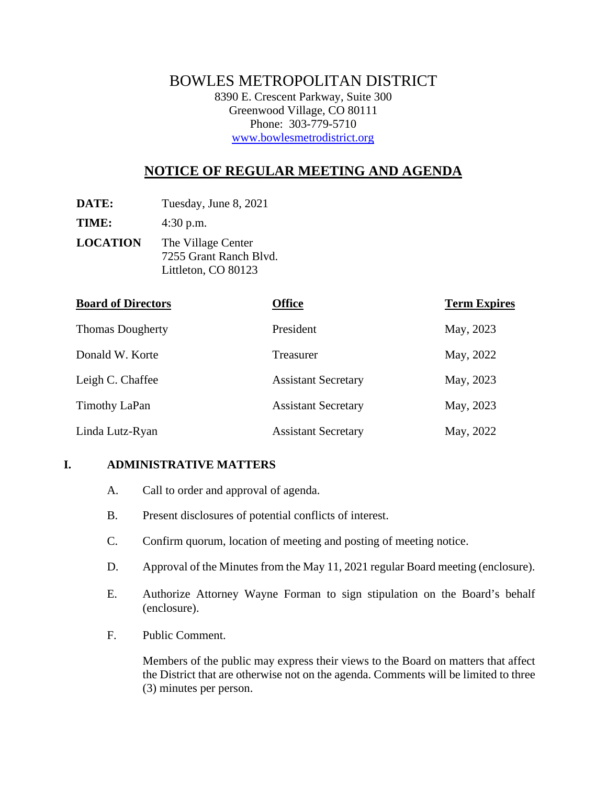# BOWLES METROPOLITAN DISTRICT

8390 E. Crescent Parkway, Suite 300 Greenwood Village, CO 80111 Phone: 303-779-5710 www.bowlesmetrodistrict.org

# **NOTICE OF REGULAR MEETING AND AGENDA**

**DATE:** Tuesday, June 8, 2021

**TIME:** 4:30 p.m.

**LOCATION** The Village Center 7255 Grant Ranch Blvd. Littleton, CO 80123

| <b>Board of Directors</b> | <b>Office</b>              | <b>Term Expires</b> |
|---------------------------|----------------------------|---------------------|
| <b>Thomas Dougherty</b>   | President                  | May, 2023           |
| Donald W. Korte           | Treasurer                  | May, 2022           |
| Leigh C. Chaffee          | <b>Assistant Secretary</b> | May, 2023           |
| Timothy LaPan             | <b>Assistant Secretary</b> | May, 2023           |
| Linda Lutz-Ryan           | <b>Assistant Secretary</b> | May, 2022           |

## **I. ADMINISTRATIVE MATTERS**

- A. Call to order and approval of agenda.
- B. Present disclosures of potential conflicts of interest.
- C. Confirm quorum, location of meeting and posting of meeting notice.
- D. Approval of the Minutes from the May 11, 2021 regular Board meeting (enclosure).
- E. Authorize Attorney Wayne Forman to sign stipulation on the Board's behalf (enclosure).
- F. Public Comment.

Members of the public may express their views to the Board on matters that affect the District that are otherwise not on the agenda. Comments will be limited to three (3) minutes per person.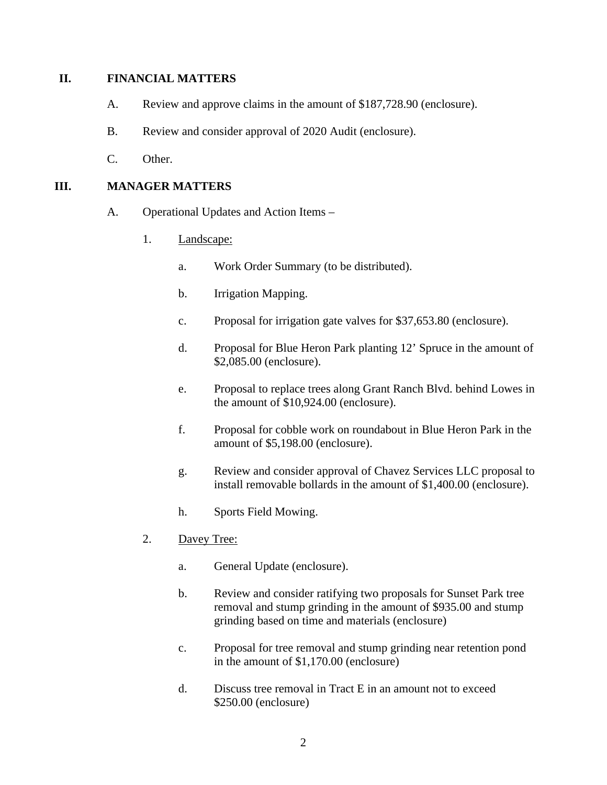#### **II. FINANCIAL MATTERS**

- A. Review and approve claims in the amount of \$187,728.90 (enclosure).
- B. Review and consider approval of 2020 Audit (enclosure).
- C. Other.

### **III. MANAGER MATTERS**

- A. Operational Updates and Action Items
	- 1. Landscape:
		- a. Work Order Summary (to be distributed).
		- b. Irrigation Mapping.
		- c. Proposal for irrigation gate valves for \$37,653.80 (enclosure).
		- d. Proposal for Blue Heron Park planting 12' Spruce in the amount of \$2,085.00 (enclosure).
		- e. Proposal to replace trees along Grant Ranch Blvd. behind Lowes in the amount of \$10,924.00 (enclosure).
		- f. Proposal for cobble work on roundabout in Blue Heron Park in the amount of \$5,198.00 (enclosure).
		- g. Review and consider approval of Chavez Services LLC proposal to install removable bollards in the amount of \$1,400.00 (enclosure).
		- h. Sports Field Mowing.
	- 2. Davey Tree:
		- a. General Update (enclosure).
		- b. Review and consider ratifying two proposals for Sunset Park tree removal and stump grinding in the amount of \$935.00 and stump grinding based on time and materials (enclosure)
		- c. Proposal for tree removal and stump grinding near retention pond in the amount of \$1,170.00 (enclosure)
		- d. Discuss tree removal in Tract E in an amount not to exceed \$250.00 (enclosure)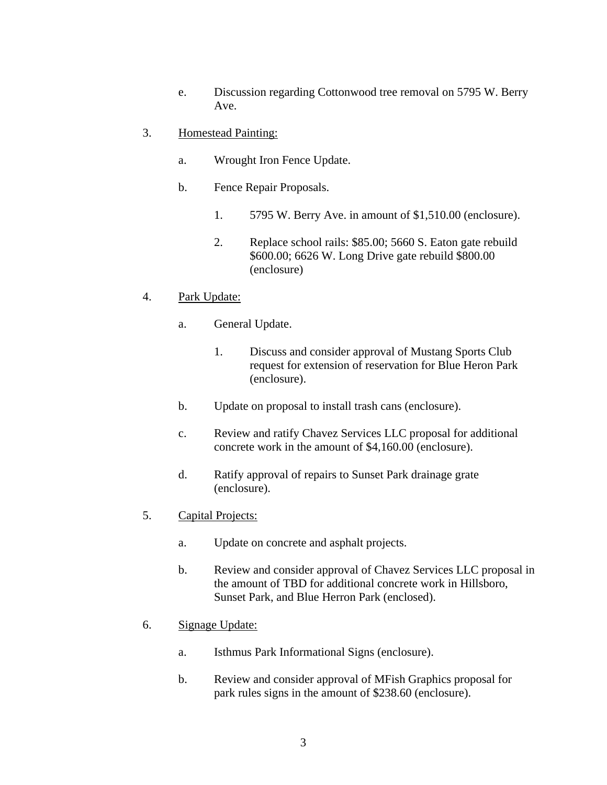- e. Discussion regarding Cottonwood tree removal on 5795 W. Berry Ave.
- 3. Homestead Painting:
	- a. Wrought Iron Fence Update.
	- b. Fence Repair Proposals.
		- 1. 5795 W. Berry Ave. in amount of \$1,510.00 (enclosure).
		- 2. Replace school rails: \$85.00; 5660 S. Eaton gate rebuild \$600.00; 6626 W. Long Drive gate rebuild \$800.00 (enclosure)

#### 4. Park Update:

- a. General Update.
	- 1. Discuss and consider approval of Mustang Sports Club request for extension of reservation for Blue Heron Park (enclosure).
- b. Update on proposal to install trash cans (enclosure).
- c. Review and ratify Chavez Services LLC proposal for additional concrete work in the amount of \$4,160.00 (enclosure).
- d. Ratify approval of repairs to Sunset Park drainage grate (enclosure).
- 5. Capital Projects:
	- a. Update on concrete and asphalt projects.
	- b. Review and consider approval of Chavez Services LLC proposal in the amount of TBD for additional concrete work in Hillsboro, Sunset Park, and Blue Herron Park (enclosed).
- 6. Signage Update:
	- a. Isthmus Park Informational Signs (enclosure).
	- b. Review and consider approval of MFish Graphics proposal for park rules signs in the amount of \$238.60 (enclosure).